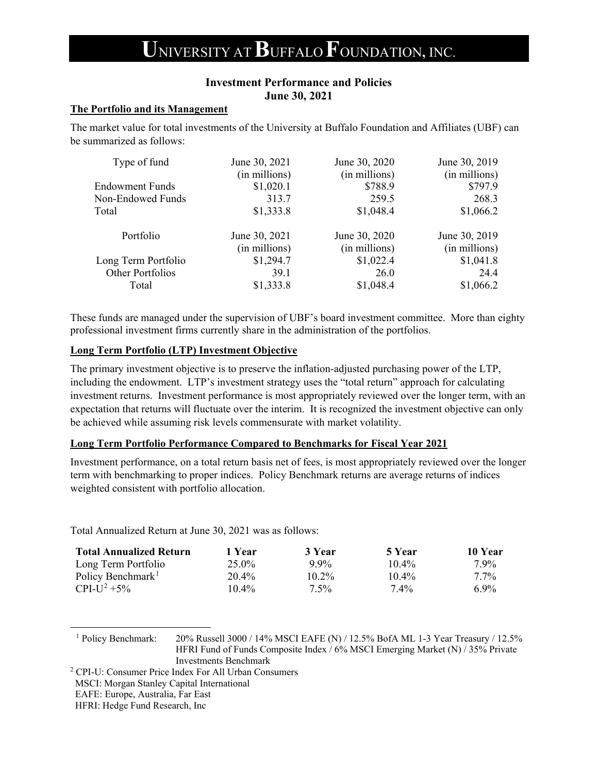# **U**NIVERSITY AT**B**UFFALO **F**OUNDATION**,** INC.

### **Investment Performance and Policies June 30, 2021**

### **The Portfolio and its Management**

The market value for total investments of the University at Buffalo Foundation and Affiliates (UBF) can be summarized as follows:

| June 30, 2021 | June 30, 2020 | June 30, 2019 |
|---------------|---------------|---------------|
| (in millions) | (in millions) | (in millions) |
| \$1,020.1     | \$788.9       | \$797.9       |
| 313.7         | 259.5         | 268.3         |
| \$1,333.8     | \$1,048.4     | \$1,066.2     |
| June 30, 2021 | June 30, 2020 | June 30, 2019 |
| (in millions) | (in millions) | (in millions) |
| \$1,294.7     | \$1,022.4     | \$1,041.8     |
| 39.1          | 26.0          | 24.4          |
| \$1,333.8     | \$1,048.4     | \$1,066.2     |
|               |               |               |

These funds are managed under the supervision of UBF's board investment committee. More than eighty professional investment firms currently share in the administration of the portfolios.

### **Long Term Portfolio (LTP) Investment Objective**

The primary investment objective is to preserve the inflation-adjusted purchasing power of the LTP, including the endowment. LTP's investment strategy uses the "total return" approach for calculating investment returns. Investment performance is most appropriately reviewed over the longer term, with an expectation that returns will fluctuate over the interim. It is recognized the investment objective can only be achieved while assuming risk levels commensurate with market volatility.

#### **Long Term Portfolio Performance Compared to Benchmarks for Fiscal Year 2021**

Investment performance, on a total return basis net of fees, is most appropriately reviewed over the longer term with benchmarking to proper indices. Policy Benchmark returns are average returns of indices weighted consistent with portfolio allocation.

Total Annualized Return at June 30, 2021 was as follows:

| <b>Total Annualized Return</b> | 1 Year   | 3 Year   | 5 Year   | 10 Year |
|--------------------------------|----------|----------|----------|---------|
| Long Term Portfolio            | $25.0\%$ | $9.9\%$  | $10.4\%$ | $7.9\%$ |
| Policy Benchmark <sup>1</sup>  | 20.4%    | $10.2\%$ | $10.4\%$ | $7.7\%$ |
| CPI-U <sup>2</sup> +5%         | $10.4\%$ | $7.5\%$  | 7.4%     | $6.9\%$ |

<span id="page-0-0"></span><sup>1</sup> Policy Benchmark: 20% Russell 3000 / 14% MSCI EAFE (N) / 12.5% BofA ML 1-3 Year Treasury / 12.5% HFRI Fund of Funds Composite Index / 6% MSCI Emerging Market (N) / 35% Private Investments Benchmark 2 CPI-U: Consumer Price Index For All Urban Consumers

- <span id="page-0-1"></span>
- MSCI: Morgan Stanley Capital International
- EAFE: Europe, Australia, Far East

HFRI: Hedge Fund Research, Inc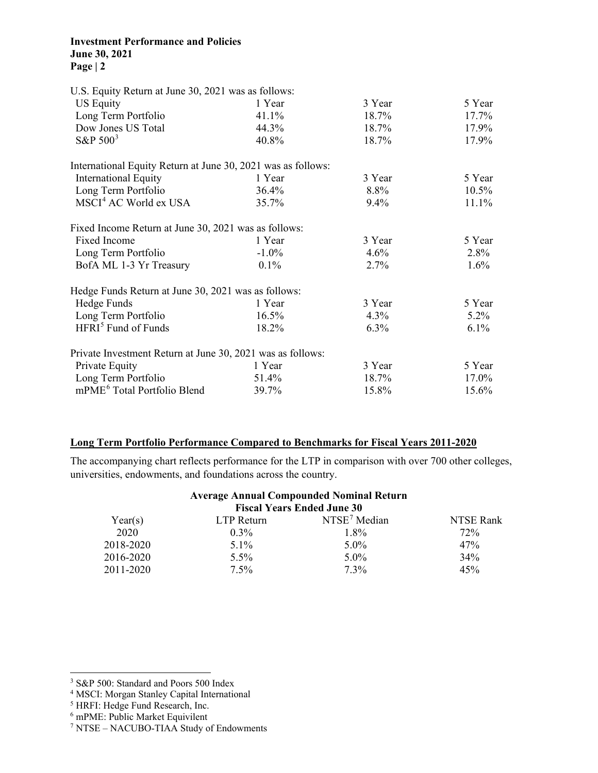### **Investment Performance and Policies June 30, 2021 Page | 2**

| U.S. Equity Return at June 30, 2021 was as follows:          |          |         |          |
|--------------------------------------------------------------|----------|---------|----------|
| <b>US Equity</b>                                             | 1 Year   | 3 Year  | 5 Year   |
| Long Term Portfolio                                          | 41.1%    | 18.7%   | 17.7%    |
| Dow Jones US Total                                           | 44.3%    | 18.7%   | 17.9%    |
| S&P $500^3$                                                  | 40.8%    | 18.7%   | 17.9%    |
| International Equity Return at June 30, 2021 was as follows: |          |         |          |
| <b>International Equity</b>                                  | 1 Year   | 3 Year  | 5 Year   |
| Long Term Portfolio                                          | 36.4%    | 8.8%    | $10.5\%$ |
| MSCI <sup>4</sup> AC World ex USA                            | 35.7%    | 9.4%    | 11.1%    |
| Fixed Income Return at June 30, 2021 was as follows:         |          |         |          |
| Fixed Income                                                 | 1 Year   | 3 Year  | 5 Year   |
| Long Term Portfolio                                          | $-1.0\%$ | 4.6%    | 2.8%     |
| BofA ML 1-3 Yr Treasury                                      | $0.1\%$  | 2.7%    | $1.6\%$  |
| Hedge Funds Return at June 30, 2021 was as follows:          |          |         |          |
| Hedge Funds                                                  | 1 Year   | 3 Year  | 5 Year   |
| Long Term Portfolio                                          | $16.5\%$ | 4.3%    | $5.2\%$  |
| HFRI <sup>5</sup> Fund of Funds                              | 18.2%    | $6.3\%$ | $6.1\%$  |
| Private Investment Return at June 30, 2021 was as follows:   |          |         |          |
| Private Equity                                               | 1 Year   | 3 Year  | 5 Year   |
| Long Term Portfolio                                          | 51.4%    | 18.7%   | 17.0%    |
| mPME <sup>6</sup> Total Portfolio Blend                      | 39.7%    | 15.8%   | 15.6%    |

### **Long Term Portfolio Performance Compared to Benchmarks for Fiscal Years 2011-2020**

The accompanying chart reflects performance for the LTP in comparison with over 700 other colleges, universities, endowments, and foundations across the country.

## **Average Annual Compounded Nominal Return**

| <b>Fiscal Years Ended June 30</b> |            |                          |           |  |
|-----------------------------------|------------|--------------------------|-----------|--|
| Year(s)                           | LTP Return | NTSE <sup>7</sup> Median | NTSE Rank |  |
| 2020                              | $0.3\%$    | 1.8%                     | 72%       |  |
| 2018-2020                         | $5.1\%$    | $5.0\%$                  | 47%       |  |
| 2016-2020                         | $5.5\%$    | $5.0\%$                  | 34%       |  |
| 2011-2020                         | $7.5\%$    | $7.3\%$                  | 45%       |  |

<sup>5</sup> HRFI: Hedge Fund Research, Inc.

<span id="page-1-0"></span><sup>3</sup> S&P 500: Standard and Poors 500 Index

<span id="page-1-1"></span><sup>4</sup> MSCI: Morgan Stanley Capital International

<span id="page-1-4"></span><span id="page-1-3"></span><span id="page-1-2"></span><sup>6</sup> mPME: Public Market Equivilent

<sup>7</sup> NTSE – NACUBO-TIAA Study of Endowments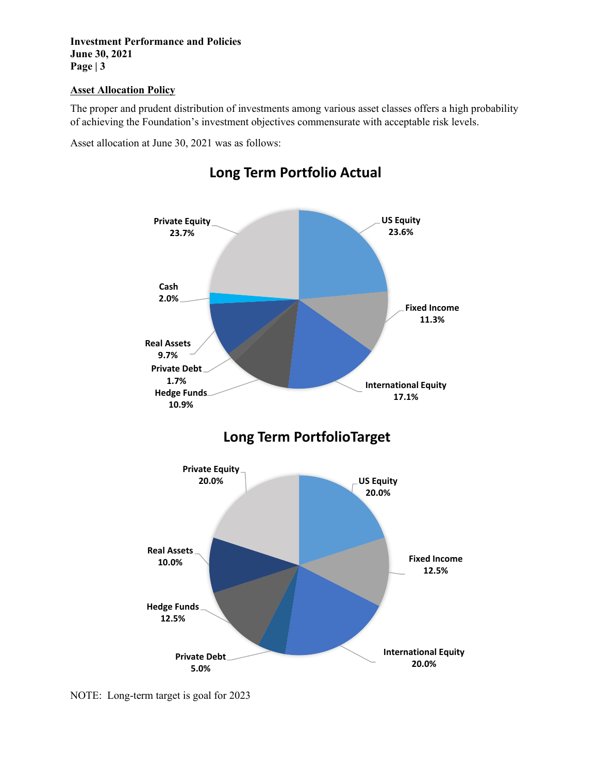**Investment Performance and Policies June 30, 2021 Page | 3** 

### **Asset Allocation Policy**

The proper and prudent distribution of investments among various asset classes offers a high probability of achieving the Foundation's investment objectives commensurate with acceptable risk levels.

Asset allocation at June 30, 2021 was as follows:



### **Long Term Portfolio Actual**

NOTE: Long-term target is goal for 2023